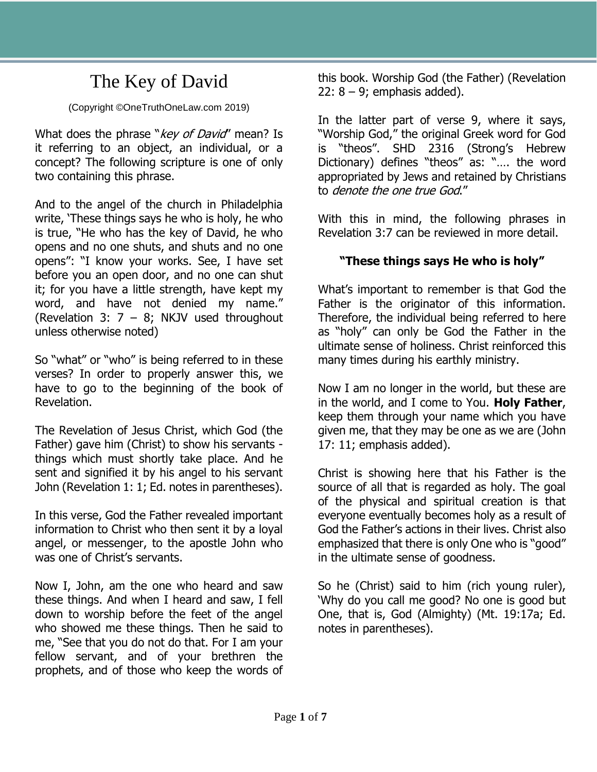# The Key of David

#### (Copyright ©OneTruthOneLaw.com 2019)

What does the phrase "key of David" mean? Is it referring to an object, an individual, or a concept? The following scripture is one of only two containing this phrase.

And to the angel of the church in Philadelphia write, 'These things says he who is holy, he who is true, "He who has the key of David, he who opens and no one shuts, and shuts and no one opens": "I know your works. See, I have set before you an open door, and no one can shut it; for you have a little strength, have kept my word, and have not denied my name." (Revelation 3:  $7 - 8$ ; NKJV used throughout unless otherwise noted)

So "what" or "who" is being referred to in these verses? In order to properly answer this, we have to go to the beginning of the book of Revelation.

The Revelation of Jesus Christ, which God (the Father) gave him (Christ) to show his servants things which must shortly take place. And he sent and signified it by his angel to his servant John (Revelation 1: 1; Ed. notes in parentheses).

In this verse, God the Father revealed important information to Christ who then sent it by a loyal angel, or messenger, to the apostle John who was one of Christ's servants.

Now I, John, am the one who heard and saw these things. And when I heard and saw, I fell down to worship before the feet of the angel who showed me these things. Then he said to me, "See that you do not do that. For I am your fellow servant, and of your brethren the prophets, and of those who keep the words of

this book. Worship God (the Father) (Revelation  $22: 8 - 9$ ; emphasis added).

In the latter part of verse 9, where it says, "Worship God," the original Greek word for God is "theos". SHD 2316 (Strong's Hebrew Dictionary) defines "theos" as: "…. the word appropriated by Jews and retained by Christians to denote the one true God."

With this in mind, the following phrases in Revelation 3:7 can be reviewed in more detail.

## **"These things says He who is holy"**

What's important to remember is that God the Father is the originator of this information. Therefore, the individual being referred to here as "holy" can only be God the Father in the ultimate sense of holiness. Christ reinforced this many times during his earthly ministry.

Now I am no longer in the world, but these are in the world, and I come to You. **Holy Father**, keep them through your name which you have given me, that they may be one as we are (John 17: 11; emphasis added).

Christ is showing here that his Father is the source of all that is regarded as holy. The goal of the physical and spiritual creation is that everyone eventually becomes holy as a result of God the Father's actions in their lives. Christ also emphasized that there is only One who is "good" in the ultimate sense of goodness.

So he (Christ) said to him (rich young ruler), 'Why do you call me good? No one is good but One, that is, God (Almighty) (Mt. 19:17a; Ed. notes in parentheses).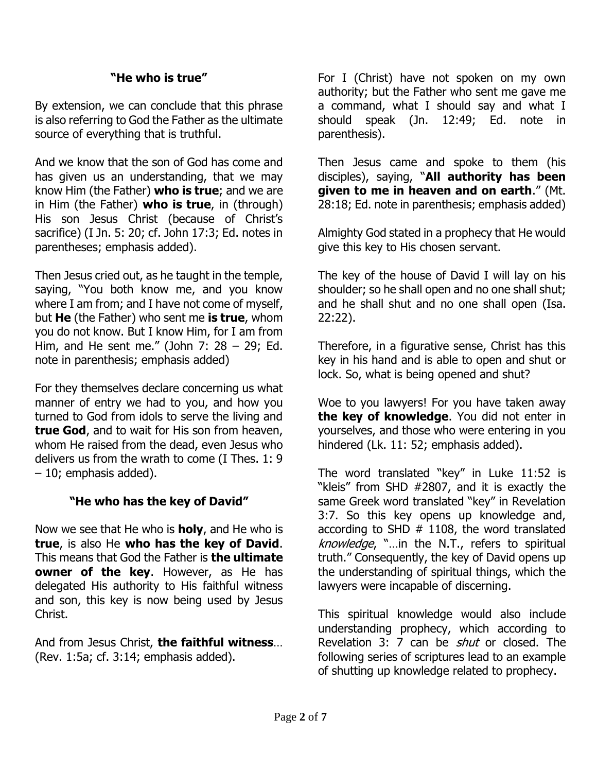#### **"He who is true"**

By extension, we can conclude that this phrase is also referring to God the Father as the ultimate source of everything that is truthful.

And we know that the son of God has come and has given us an understanding, that we may know Him (the Father) **who is true**; and we are in Him (the Father) **who is true**, in (through) His son Jesus Christ (because of Christ's sacrifice) (I Jn. 5: 20; cf. John 17:3; Ed. notes in parentheses; emphasis added).

Then Jesus cried out, as he taught in the temple, saying, "You both know me, and you know where I am from; and I have not come of myself, but **He** (the Father) who sent me **is true**, whom you do not know. But I know Him, for I am from Him, and He sent me." (John 7:  $28 - 29$ ; Ed. note in parenthesis; emphasis added)

For they themselves declare concerning us what manner of entry we had to you, and how you turned to God from idols to serve the living and **true God**, and to wait for His son from heaven, whom He raised from the dead, even Jesus who delivers us from the wrath to come (I Thes. 1: 9 – 10; emphasis added).

#### **"He who has the key of David"**

Now we see that He who is **holy**, and He who is **true**, is also He **who has the key of David**. This means that God the Father is **the ultimate owner of the key**. However, as He has delegated His authority to His faithful witness and son, this key is now being used by Jesus Christ.

And from Jesus Christ, **the faithful witness**… (Rev. 1:5a; cf. 3:14; emphasis added).

For I (Christ) have not spoken on my own authority; but the Father who sent me gave me a command, what I should say and what I should speak (Jn. 12:49; Ed. note in parenthesis).

Then Jesus came and spoke to them (his disciples), saying, "**All authority has been given to me in heaven and on earth**." (Mt. 28:18; Ed. note in parenthesis; emphasis added)

Almighty God stated in a prophecy that He would give this key to His chosen servant.

The key of the house of David I will lay on his shoulder; so he shall open and no one shall shut; and he shall shut and no one shall open (Isa. 22:22).

Therefore, in a figurative sense, Christ has this key in his hand and is able to open and shut or lock. So, what is being opened and shut?

Woe to you lawyers! For you have taken away **the key of knowledge**. You did not enter in yourselves, and those who were entering in you hindered (Lk. 11: 52; emphasis added).

The word translated "key" in Luke 11:52 is "kleis" from SHD #2807, and it is exactly the same Greek word translated "key" in Revelation 3:7. So this key opens up knowledge and, according to SHD  $#$  1108, the word translated knowledge, "...in the N.T., refers to spiritual truth." Consequently, the key of David opens up the understanding of spiritual things, which the lawyers were incapable of discerning.

This spiritual knowledge would also include understanding prophecy, which according to Revelation 3: 7 can be *shut* or closed. The following series of scriptures lead to an example of shutting up knowledge related to prophecy.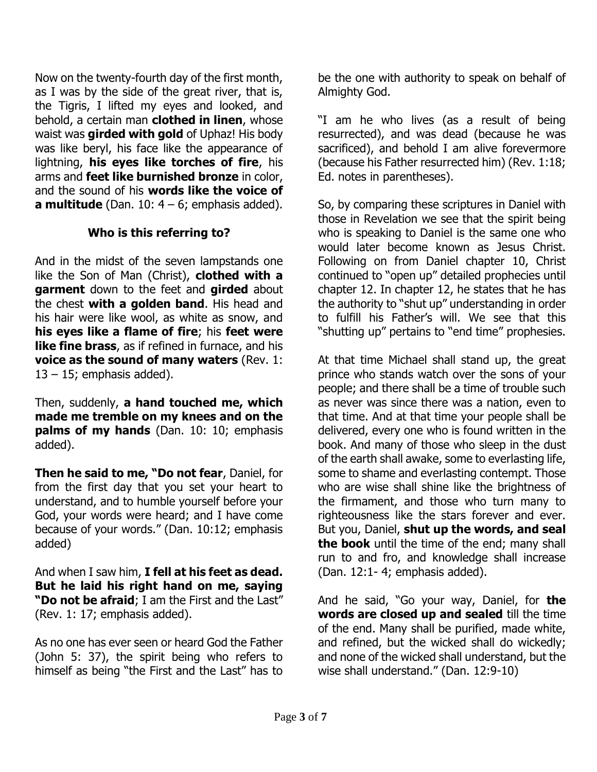Now on the twenty-fourth day of the first month, as I was by the side of the great river, that is, the Tigris, I lifted my eyes and looked, and behold, a certain man **clothed in linen**, whose waist was **girded with gold** of Uphaz! His body was like beryl, his face like the appearance of lightning, **his eyes like torches of fire**, his arms and **feet like burnished bronze** in color, and the sound of his **words like the voice of a multitude** (Dan.  $10: 4 - 6$ ; emphasis added).

### **Who is this referring to?**

And in the midst of the seven lampstands one like the Son of Man (Christ), **clothed with a garment** down to the feet and **girded** about the chest **with a golden band**. His head and his hair were like wool, as white as snow, and **his eyes like a flame of fire**; his **feet were like fine brass**, as if refined in furnace, and his **voice as the sound of many waters** (Rev. 1:  $13 - 15$ ; emphasis added).

Then, suddenly, **a hand touched me, which made me tremble on my knees and on the palms of my hands** (Dan. 10: 10; emphasis added).

**Then he said to me, "Do not fear**, Daniel, for from the first day that you set your heart to understand, and to humble yourself before your God, your words were heard; and I have come because of your words." (Dan. 10:12; emphasis added)

And when I saw him, **I fell at his feet as dead. But he laid his right hand on me, saying "Do not be afraid**; I am the First and the Last" (Rev. 1: 17; emphasis added).

As no one has ever seen or heard God the Father (John 5: 37), the spirit being who refers to himself as being "the First and the Last" has to

be the one with authority to speak on behalf of Almighty God.

"I am he who lives (as a result of being resurrected), and was dead (because he was sacrificed), and behold I am alive forevermore (because his Father resurrected him) (Rev. 1:18; Ed. notes in parentheses).

So, by comparing these scriptures in Daniel with those in Revelation we see that the spirit being who is speaking to Daniel is the same one who would later become known as Jesus Christ. Following on from Daniel chapter 10, Christ continued to "open up" detailed prophecies until chapter 12. In chapter 12, he states that he has the authority to "shut up" understanding in order to fulfill his Father's will. We see that this "shutting up" pertains to "end time" prophesies.

At that time Michael shall stand up, the great prince who stands watch over the sons of your people; and there shall be a time of trouble such as never was since there was a nation, even to that time. And at that time your people shall be delivered, every one who is found written in the book. And many of those who sleep in the dust of the earth shall awake, some to everlasting life, some to shame and everlasting contempt. Those who are wise shall shine like the brightness of the firmament, and those who turn many to righteousness like the stars forever and ever. But you, Daniel, **shut up the words, and seal the book** until the time of the end; many shall run to and fro, and knowledge shall increase (Dan. 12:1- 4; emphasis added).

And he said, "Go your way, Daniel, for **the words are closed up and sealed** till the time of the end. Many shall be purified, made white, and refined, but the wicked shall do wickedly; and none of the wicked shall understand, but the wise shall understand." (Dan. 12:9-10)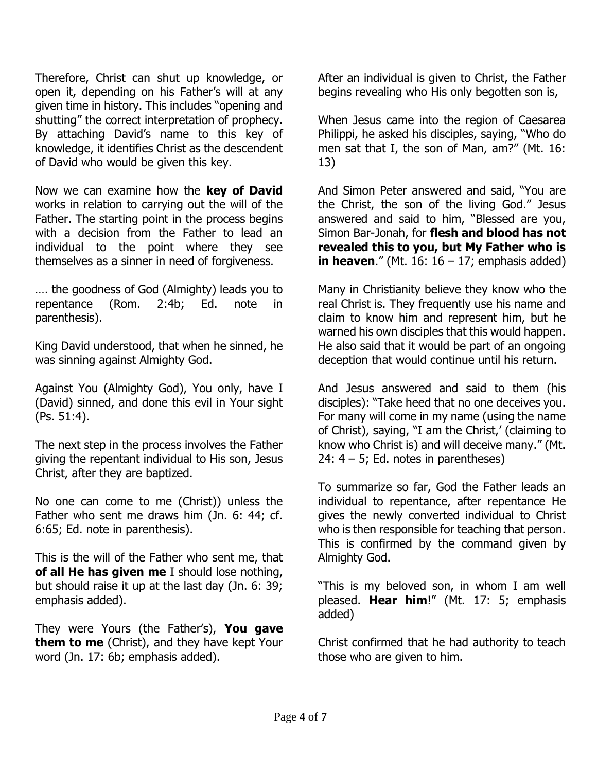Therefore, Christ can shut up knowledge, or open it, depending on his Father's will at any given time in history. This includes "opening and shutting" the correct interpretation of prophecy. By attaching David's name to this key of knowledge, it identifies Christ as the descendent of David who would be given this key.

Now we can examine how the **key of David** works in relation to carrying out the will of the Father. The starting point in the process begins with a decision from the Father to lead an individual to the point where they see themselves as a sinner in need of forgiveness.

…. the goodness of God (Almighty) leads you to repentance (Rom. 2:4b; Ed. note in parenthesis).

King David understood, that when he sinned, he was sinning against Almighty God.

Against You (Almighty God), You only, have I (David) sinned, and done this evil in Your sight (Ps. 51:4).

The next step in the process involves the Father giving the repentant individual to His son, Jesus Christ, after they are baptized.

No one can come to me (Christ)) unless the Father who sent me draws him (Jn. 6: 44; cf. 6:65; Ed. note in parenthesis).

This is the will of the Father who sent me, that **of all He has given me** I should lose nothing, but should raise it up at the last day (Jn. 6: 39; emphasis added).

They were Yours (the Father's), **You gave them to me** (Christ), and they have kept Your word (Jn. 17: 6b; emphasis added).

After an individual is given to Christ, the Father begins revealing who His only begotten son is,

When Jesus came into the region of Caesarea Philippi, he asked his disciples, saying, "Who do men sat that I, the son of Man, am?" (Mt. 16: 13)

And Simon Peter answered and said, "You are the Christ, the son of the living God." Jesus answered and said to him, "Blessed are you, Simon Bar-Jonah, for **flesh and blood has not revealed this to you, but My Father who is in heaven.**" (Mt. 16:  $16 - 17$ ; emphasis added)

Many in Christianity believe they know who the real Christ is. They frequently use his name and claim to know him and represent him, but he warned his own disciples that this would happen. He also said that it would be part of an ongoing deception that would continue until his return.

And Jesus answered and said to them (his disciples): "Take heed that no one deceives you. For many will come in my name (using the name of Christ), saying, "I am the Christ,' (claiming to know who Christ is) and will deceive many." (Mt. 24:  $4 - 5$ ; Ed. notes in parentheses)

To summarize so far, God the Father leads an individual to repentance, after repentance He gives the newly converted individual to Christ who is then responsible for teaching that person. This is confirmed by the command given by Almighty God.

"This is my beloved son, in whom I am well pleased. **Hear him**!" (Mt. 17: 5; emphasis added)

Christ confirmed that he had authority to teach those who are given to him.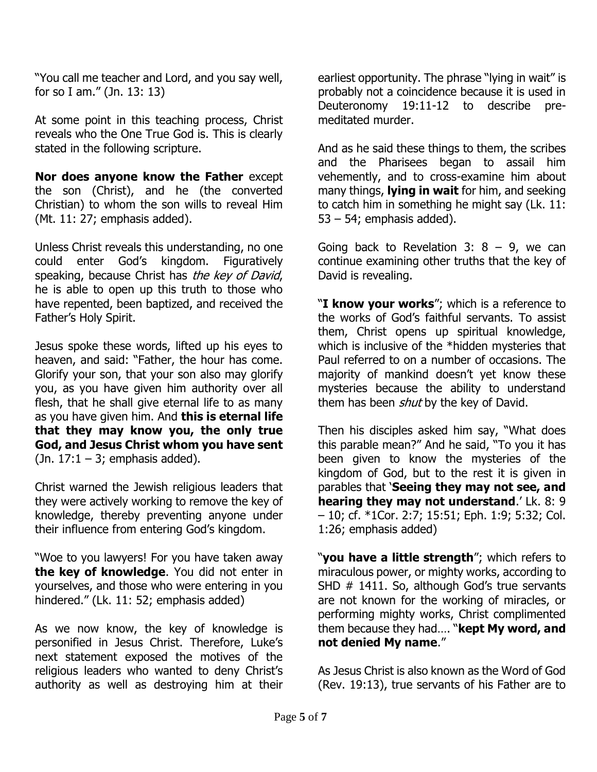"You call me teacher and Lord, and you say well, for so I am." (Jn. 13: 13)

At some point in this teaching process, Christ reveals who the One True God is. This is clearly stated in the following scripture.

**Nor does anyone know the Father** except the son (Christ), and he (the converted Christian) to whom the son wills to reveal Him (Mt. 11: 27; emphasis added).

Unless Christ reveals this understanding, no one could enter God's kingdom. Figuratively speaking, because Christ has the key of David, he is able to open up this truth to those who have repented, been baptized, and received the Father's Holy Spirit.

Jesus spoke these words, lifted up his eyes to heaven, and said: "Father, the hour has come. Glorify your son, that your son also may glorify you, as you have given him authority over all flesh, that he shall give eternal life to as many as you have given him. And **this is eternal life that they may know you, the only true God, and Jesus Christ whom you have sent** (Jn.  $17:1 - 3$ ; emphasis added).

Christ warned the Jewish religious leaders that they were actively working to remove the key of knowledge, thereby preventing anyone under their influence from entering God's kingdom.

"Woe to you lawyers! For you have taken away **the key of knowledge**. You did not enter in yourselves, and those who were entering in you hindered." (Lk. 11: 52; emphasis added)

As we now know, the key of knowledge is personified in Jesus Christ. Therefore, Luke's next statement exposed the motives of the religious leaders who wanted to deny Christ's authority as well as destroying him at their

earliest opportunity. The phrase "lying in wait" is probably not a coincidence because it is used in Deuteronomy 19:11-12 to describe premeditated murder.

And as he said these things to them, the scribes and the Pharisees began to assail him vehemently, and to cross-examine him about many things, **lying in wait** for him, and seeking to catch him in something he might say (Lk. 11: 53 – 54; emphasis added).

Going back to Revelation 3:  $8 - 9$ , we can continue examining other truths that the key of David is revealing.

"**I know your works**"; which is a reference to the works of God's faithful servants. To assist them, Christ opens up spiritual knowledge, which is inclusive of the \*hidden mysteries that Paul referred to on a number of occasions. The majority of mankind doesn't yet know these mysteries because the ability to understand them has been *shut* by the key of David.

Then his disciples asked him say, "What does this parable mean?" And he said, "To you it has been given to know the mysteries of the kingdom of God, but to the rest it is given in parables that '**Seeing they may not see, and hearing they may not understand**.' Lk. 8: 9 – 10; cf. \*1Cor. 2:7; 15:51; Eph. 1:9; 5:32; Col. 1:26; emphasis added)

"**you have a little strength**"; which refers to miraculous power, or mighty works, according to SHD # 1411. So, although God's true servants are not known for the working of miracles, or performing mighty works, Christ complimented them because they had…. "**kept My word, and not denied My name**."

As Jesus Christ is also known as the Word of God (Rev. 19:13), true servants of his Father are to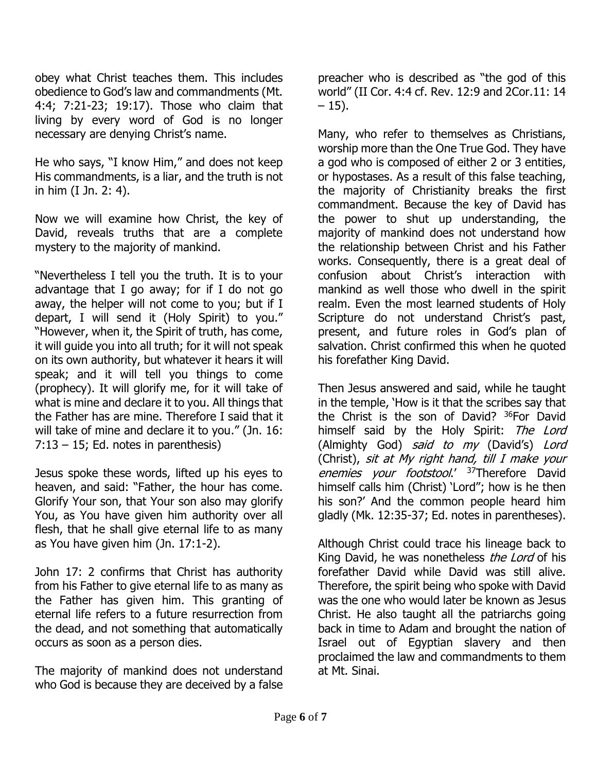obey what Christ teaches them. This includes obedience to God's law and commandments (Mt. 4:4; 7:21-23; 19:17). Those who claim that living by every word of God is no longer necessary are denying Christ's name.

He who says, "I know Him," and does not keep His commandments, is a liar, and the truth is not in him (I Jn. 2: 4).

Now we will examine how Christ, the key of David, reveals truths that are a complete mystery to the majority of mankind.

"Nevertheless I tell you the truth. It is to your advantage that I go away; for if I do not go away, the helper will not come to you; but if I depart, I will send it (Holy Spirit) to you." "However, when it, the Spirit of truth, has come, it will guide you into all truth; for it will not speak on its own authority, but whatever it hears it will speak; and it will tell you things to come (prophecy). It will glorify me, for it will take of what is mine and declare it to you. All things that the Father has are mine. Therefore I said that it will take of mine and declare it to you." (Jn. 16:  $7:13 - 15$ ; Ed. notes in parenthesis)

Jesus spoke these words, lifted up his eyes to heaven, and said: "Father, the hour has come. Glorify Your son, that Your son also may glorify You, as You have given him authority over all flesh, that he shall give eternal life to as many as You have given him (Jn. 17:1-2).

John 17: 2 confirms that Christ has authority from his Father to give eternal life to as many as the Father has given him. This granting of eternal life refers to a future resurrection from the dead, and not something that automatically occurs as soon as a person dies.

The majority of mankind does not understand who God is because they are deceived by a false

preacher who is described as "the god of this world" (II Cor. 4:4 cf. Rev. 12:9 and 2Cor.11: 14  $-15$ ).

Many, who refer to themselves as Christians, worship more than the One True God. They have a god who is composed of either 2 or 3 entities, or hypostases. As a result of this false teaching, the majority of Christianity breaks the first commandment. Because the key of David has the power to shut up understanding, the majority of mankind does not understand how the relationship between Christ and his Father works. Consequently, there is a great deal of confusion about Christ's interaction with mankind as well those who dwell in the spirit realm. Even the most learned students of Holy Scripture do not understand Christ's past, present, and future roles in God's plan of salvation. Christ confirmed this when he quoted his forefather King David.

Then Jesus answered and said, while he taught in the temple, 'How is it that the scribes say that the Christ is the son of David? <sup>36</sup>For David himself said by the Holy Spirit: The Lord (Almighty God) said to my (David's) Lord (Christ), sit at My right hand, till I make your enemies your footstool.' <sup>37</sup>Therefore David himself calls him (Christ) 'Lord"; how is he then his son?' And the common people heard him gladly (Mk. 12:35-37; Ed. notes in parentheses).

Although Christ could trace his lineage back to King David, he was nonetheless the Lord of his forefather David while David was still alive. Therefore, the spirit being who spoke with David was the one who would later be known as Jesus Christ. He also taught all the patriarchs going back in time to Adam and brought the nation of Israel out of Egyptian slavery and then proclaimed the law and commandments to them at Mt. Sinai.